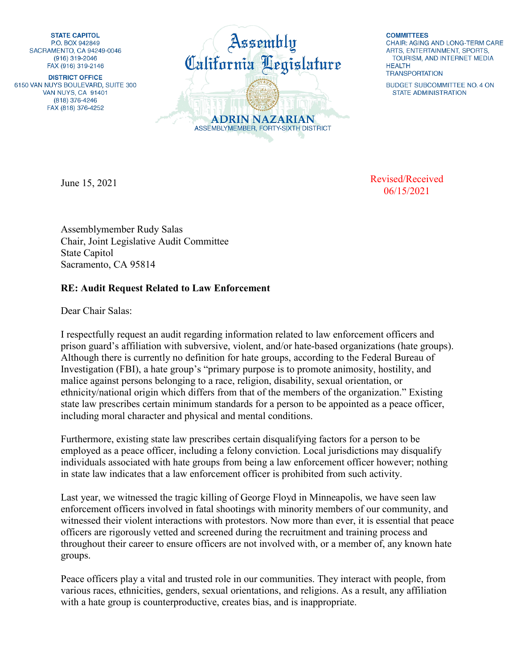**STATE CAPITOL** P.O. BOX 942849 SACRAMENTO, CA 94249-0046  $(916)$  319-2046 FAX (916) 319-2146

**DISTRICT OFFICE** 6150 VAN NUYS BOULEVARD, SUITE 300 VAN NUYS, CA 91401 (818) 376-4246 FAX (818) 376-4252



**COMMITTEES** CHAIR: AGING AND LONG-TERM CARE ARTS, ENTERTAINMENT, SPORTS. TOURISM, AND INTERNET MEDIA **HFAITH TRANSPORTATION** 

BUDGET SUBCOMMITTEE NO. 4 ON **STATE ADMINISTRATION** 

June 15, 2021

Revised/Received 06/15/2021

Assemblymember Rudy Salas Chair, Joint Legislative Audit Committee State Capitol Sacramento, CA 95814

## **RE: Audit Request Related to Law Enforcement**

Dear Chair Salas:

I respectfully request an audit regarding information related to law enforcement officers and prison guard's affiliation with subversive, violent, and/or hate-based organizations (hate groups). Although there is currently no definition for hate groups, according to the Federal Bureau of Investigation (FBI), a hate group's "primary purpose is to promote animosity, hostility, and malice against persons belonging to a race, religion, disability, sexual orientation, or ethnicity/national origin which differs from that of the members of the organization." Existing state law prescribes certain minimum standards for a person to be appointed as a peace officer, including moral character and physical and mental conditions.

Furthermore, existing state law prescribes certain disqualifying factors for a person to be employed as a peace officer, including a felony conviction. Local jurisdictions may disqualify individuals associated with hate groups from being a law enforcement officer however; nothing in state law indicates that a law enforcement officer is prohibited from such activity.

Last year, we witnessed the tragic killing of George Floyd in Minneapolis, we have seen law enforcement officers involved in fatal shootings with minority members of our community, and witnessed their violent interactions with protestors. Now more than ever, it is essential that peace officers are rigorously vetted and screened during the recruitment and training process and throughout their career to ensure officers are not involved with, or a member of, any known hate groups.

Peace officers play a vital and trusted role in our communities. They interact with people, from various races, ethnicities, genders, sexual orientations, and religions. As a result, any affiliation with a hate group is counterproductive, creates bias, and is inappropriate.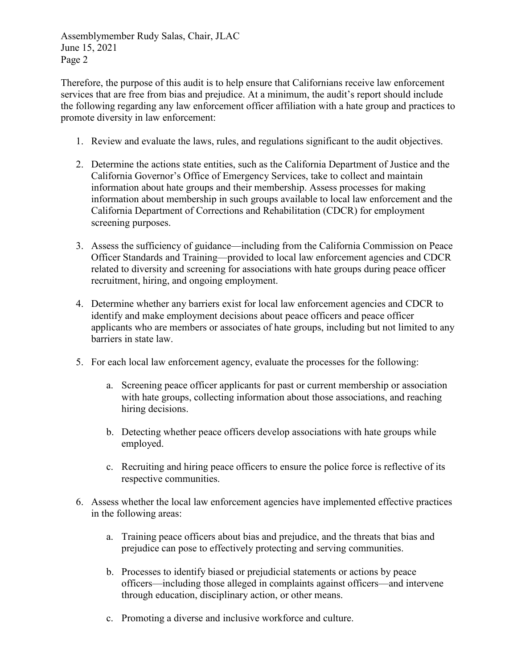Assemblymember Rudy Salas, Chair, JLAC June 15, 2021 Page 2

Therefore, the purpose of this audit is to help ensure that Californians receive law enforcement services that are free from bias and prejudice. At a minimum, the audit's report should include the following regarding any law enforcement officer affiliation with a hate group and practices to promote diversity in law enforcement:

- 1. Review and evaluate the laws, rules, and regulations significant to the audit objectives.
- 2. Determine the actions state entities, such as the California Department of Justice and the California Governor's Office of Emergency Services, take to collect and maintain information about hate groups and their membership. Assess processes for making information about membership in such groups available to local law enforcement and the California Department of Corrections and Rehabilitation (CDCR) for employment screening purposes.
- 3. Assess the sufficiency of guidance—including from the California Commission on Peace Officer Standards and Training—provided to local law enforcement agencies and CDCR related to diversity and screening for associations with hate groups during peace officer recruitment, hiring, and ongoing employment.
- 4. Determine whether any barriers exist for local law enforcement agencies and CDCR to identify and make employment decisions about peace officers and peace officer applicants who are members or associates of hate groups, including but not limited to any barriers in state law.
- 5. For each local law enforcement agency, evaluate the processes for the following:
	- a. Screening peace officer applicants for past or current membership or association with hate groups, collecting information about those associations, and reaching hiring decisions.
	- b. Detecting whether peace officers develop associations with hate groups while employed.
	- c. Recruiting and hiring peace officers to ensure the police force is reflective of its respective communities.
- 6. Assess whether the local law enforcement agencies have implemented effective practices in the following areas:
	- a. Training peace officers about bias and prejudice, and the threats that bias and prejudice can pose to effectively protecting and serving communities.
	- b. Processes to identify biased or prejudicial statements or actions by peace officers—including those alleged in complaints against officers—and intervene through education, disciplinary action, or other means.
	- c. Promoting a diverse and inclusive workforce and culture.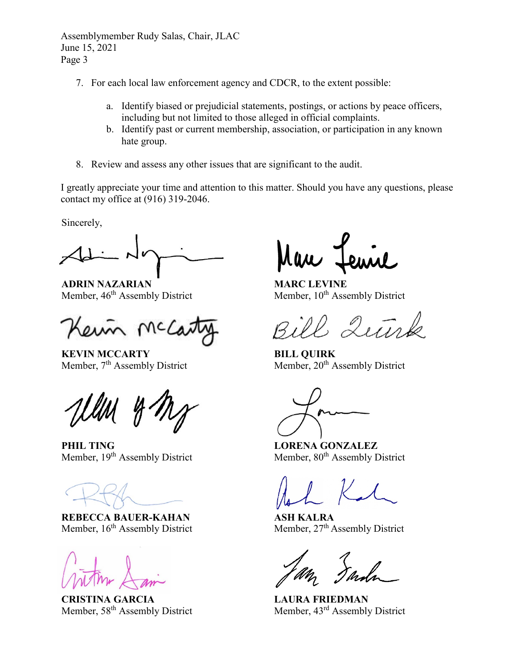Assemblymember Rudy Salas, Chair, JLAC June 15, 2021 Page 3

- 7. For each local law enforcement agency and CDCR, to the extent possible:
	- a. Identify biased or prejudicial statements, postings, or actions by peace officers, including but not limited to those alleged in official complaints.
	- b. Identify past or current membership, association, or participation in any known hate group.
- 8. Review and assess any other issues that are significant to the audit.

I greatly appreciate your time and attention to this matter. Should you have any questions, please contact my office at (916) 319-2046.

Sincerely,

**ADRIN NAZARIAN** Member, 46<sup>th</sup> Assembly District

/ Wc

**KEVIN MCCARTY** Member, 7<sup>th</sup> Assembly District

**PHIL TING** Member, 19<sup>th</sup> Assembly District

**REBECCA BAUER-KAHAN** Member, 16<sup>th</sup> Assembly District

**CRISTINA GARCIA** Member, 58<sup>th</sup> Assembly District

**MARC LEVINE** Member, 10<sup>th</sup> Assembly District

 $2\sqrt{11}$ 

**BILL QUIRK** Member, 20<sup>th</sup> Assembly District

**LORENA GONZALEZ** Member,  $80<sup>th</sup>$  Assembly District

**ASH KALRA** Member, 27<sup>th</sup> Assembly District

**LAURA FRIEDMAN** Member, 43rd Assembly District